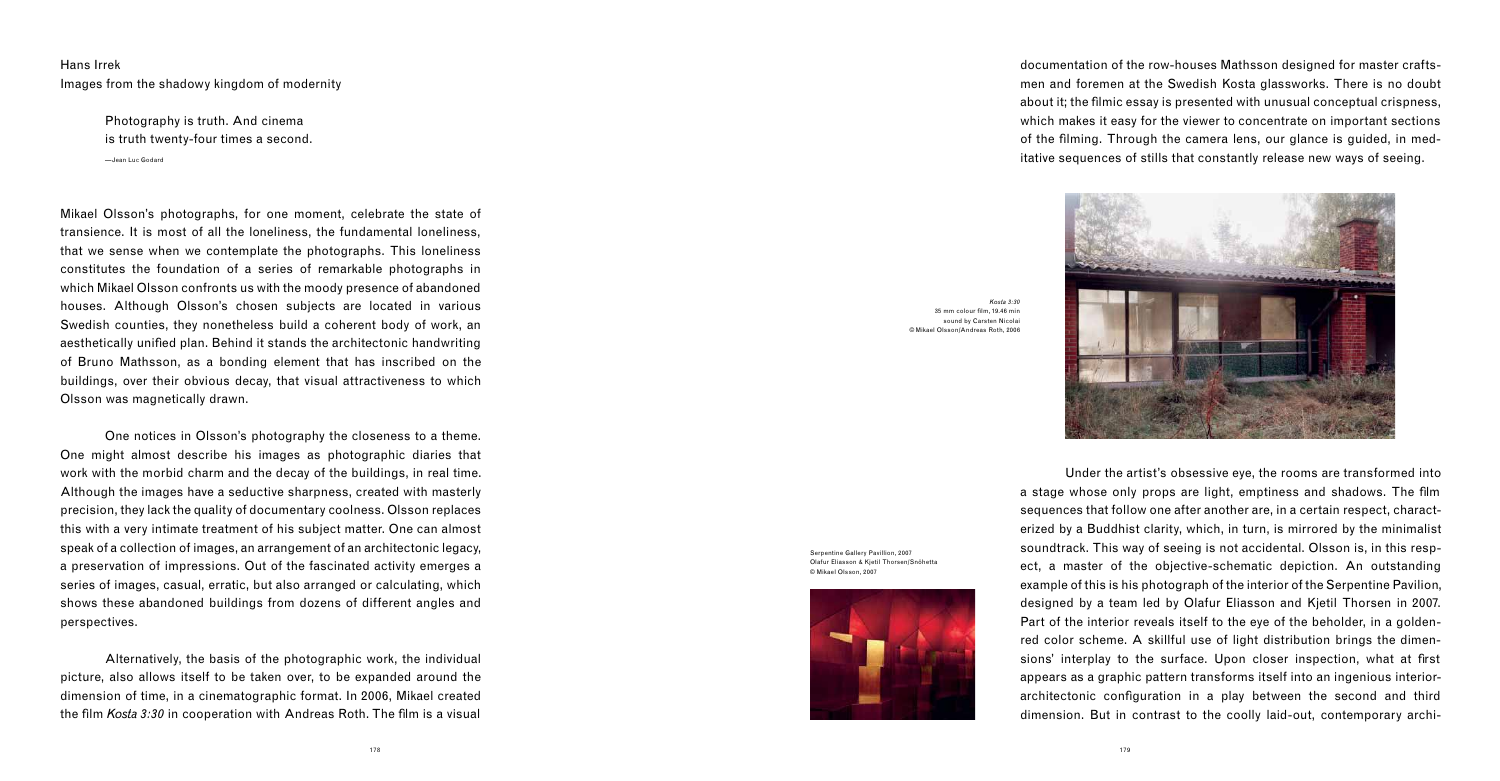Hans Irrek Images from the shadowy kingdom of modernity

> Photography is truth. And cinema is truth twenty-four times a second. —Jean Luc Godard

Mikael Olsson's photographs, for one moment, celebrate the state of transience. It is most of all the loneliness, the fundamental loneliness, that we sense when we contemplate the photographs. This loneliness constitutes the foundation of a series of remarkable photographs in which Mikael Olsson confronts us with the moody presence of abandoned houses. Although Olsson's chosen subjects are located in various Swedish counties, they nonetheless build a coherent body of work, an aesthetically unified plan. Behind it stands the architectonic handwriting of Bruno Mathsson, as a bonding element that has inscribed on the buildings, over their obvious decay, that visual attractiveness to which Olsson was magnetically drawn.

 Alternatively, the basis of the photographic work, the individual picture, also allows itself to be taken over, to be expanded around the dimension of time, in a cinematographic format. In 2006, Mikael created the film *Kosta 3:30* in cooperation with Andreas Roth. The film is a visual

 One notices in Olsson's photography the closeness to a theme. One might almost describe his images as photographic diaries that work with the morbid charm and the decay of the buildings, in real time. Although the images have a seductive sharpness, created with masterly precision, they lack the quality of documentary coolness. Olsson replaces this with a very intimate treatment of his subject matter. One can almost speak of a collection of images, an arrangement of an architectonic legacy, a preservation of impressions. Out of the fascinated activity emerges a series of images, casual, erratic, but also arranged or calculating, which shows these abandoned buildings from dozens of different angles and perspectives.

documentation of the row-houses Mathsson designed for master craftsmen and foremen at the Swedish Kosta glassworks. There is no doubt about it; the filmic essay is presented with unusual conceptual crispness, which makes it easy for the viewer to concentrate on important sections of the filming. Through the camera lens, our glance is guided, in meditative sequences of stills that constantly release new ways of seeing.

 Under the artist's obsessive eye, the rooms are transformed into a stage whose only props are light, emptiness and shadows. The film sequences that follow one after another are, in a certain respect, characterized by a Buddhist clarity, which, in turn, is mirrored by the minimalist soundtrack. This way of seeing is not accidental. Olsson is, in this respect, a master of the objective-schematic depiction. An outstanding example of this is his photograph of the interior of the Serpentine Pavilion, designed by a team led by Olafur Eliasson and Kjetil Thorsen in 2007. Part of the interior reveals itself to the eye of the beholder, in a goldenred color scheme. A skillful use of light distribution brings the dimensions' interplay to the surface. Upon closer inspection, what at first appears as a graphic pattern transforms itself into an ingenious interiorarchitectonic configuration in a play between the second and third dimension. But in contrast to the coolly laid-out, contemporary archi-



*Kosta 3:30*  $35 \text{ mm}$  colour film, 19.46 min sound by Carsten Nicolai © Mikael Olsson/Andreas Roth, 2006

Serpentine Gallery Pavillion, 2007 Olafur Eliasson & Kjetil Thorsen/Snöhetta © Mikael Olsson, 2007

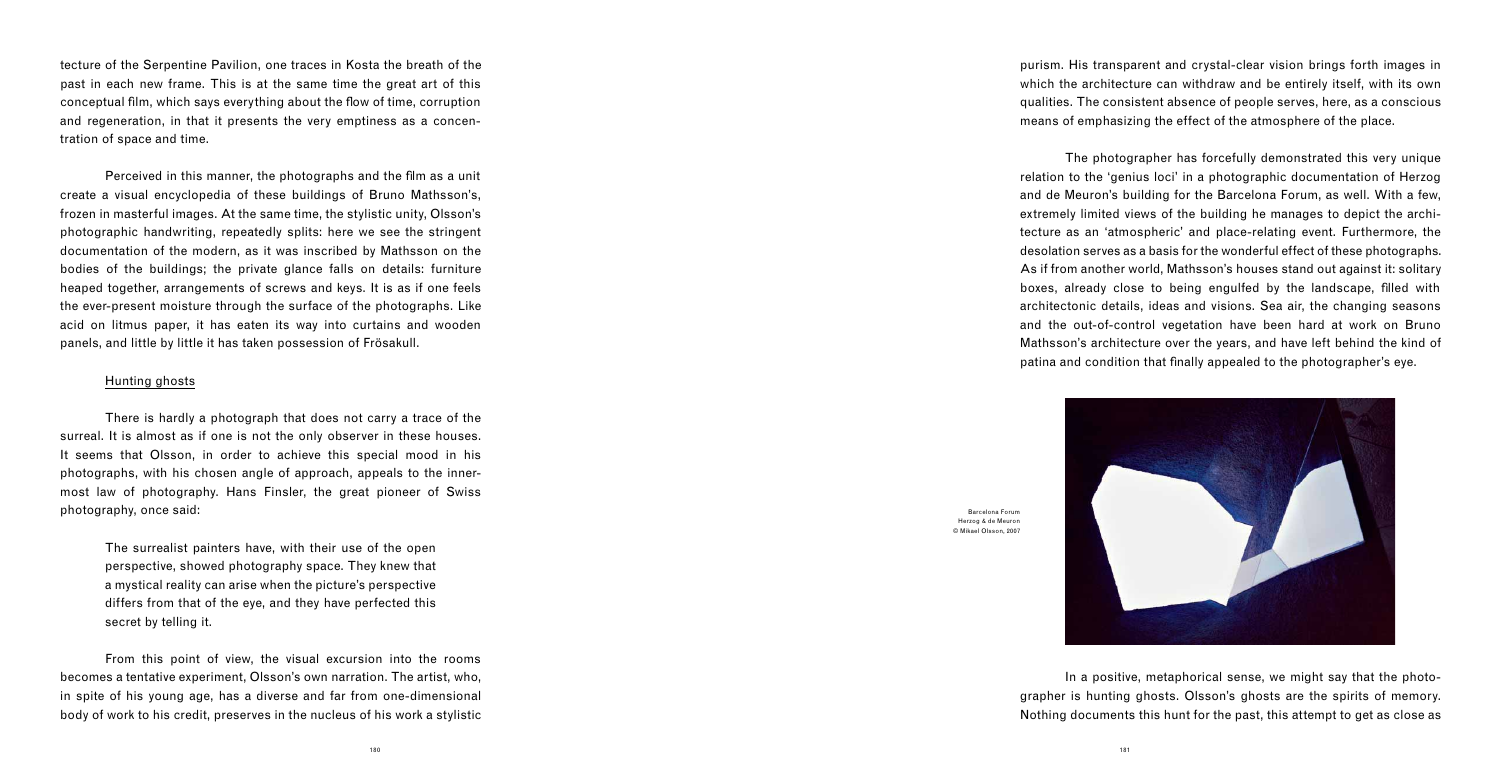tecture of the Serpentine Pavilion, one traces in Kosta the breath of the past in each new frame. This is at the same time the great art of this conceptual film, which says everything about the flow of time, corruption and regeneration, in that it presents the very emptiness as a concentration of space and time.

Perceived in this manner, the photographs and the film as a unit create a visual encyclopedia of these buildings of Bruno Mathsson's, frozen in masterful images. At the same time, the stylistic unity, Olsson's photographic handwriting, repeatedly splits: here we see the stringent documentation of the modern, as it was inscribed by Mathsson on the bodies of the buildings; the private glance falls on details: furniture heaped together, arrangements of screws and keys. It is as if one feels the ever-present moisture through the surface of the photographs. Like acid on litmus paper, it has eaten its way into curtains and wooden panels, and little by little it has taken possession of Frösakull.

## Hunting ghosts

 The photographer has forcefully demonstrated this very unique relation to the 'genius loci' in a photographic documentation of Herzog and de Meuron's building for the Barcelona Forum, as well. With a few, extremely limited views of the building he manages to depict the architecture as an 'atmospheric' and place-relating event. Furthermore, the desolation serves as a basis for the wonderful effect of these photographs. As if from another world, Mathsson's houses stand out against it: solitary boxes, already close to being engulfed by the landscape, filled with architectonic details, ideas and visions. Sea air, the changing seasons and the out-of-control vegetation have been hard at work on Bruno Mathsson's architecture over the years, and have left behind the kind of patina and condition that finally appealed to the photographer's eye.

 There is hardly a photograph that does not carry a trace of the surreal. It is almost as if one is not the only observer in these houses. It seems that Olsson, in order to achieve this special mood in his photographs, with his chosen angle of approach, appeals to the innermost law of photography. Hans Finsler, the great pioneer of Swiss photography, once said:

> The surrealist painters have, with their use of the open perspective, showed photography space. They knew that a mystical reality can arise when the picture's perspective differs from that of the eye, and they have perfected this secret by telling it.

 From this point of view, the visual excursion into the rooms becomes a tentative experiment, Olsson's own narration. The artist, who, in spite of his young age, has a diverse and far from one-dimensional body of work to his credit, preserves in the nucleus of his work a stylistic

purism. His transparent and crystal-clear vision brings forth images in which the architecture can withdraw and be entirely itself, with its own qualities. The consistent absence of people serves, here, as a conscious means of emphasizing the effect of the atmosphere of the place.

 In a positive, metaphorical sense, we might say that the photographer is hunting ghosts. Olsson's ghosts are the spirits of memory. Nothing documents this hunt for the past, this attempt to get as close as



Barcelona Forum Herzog & de Meuron © Mikael Olsson, 2007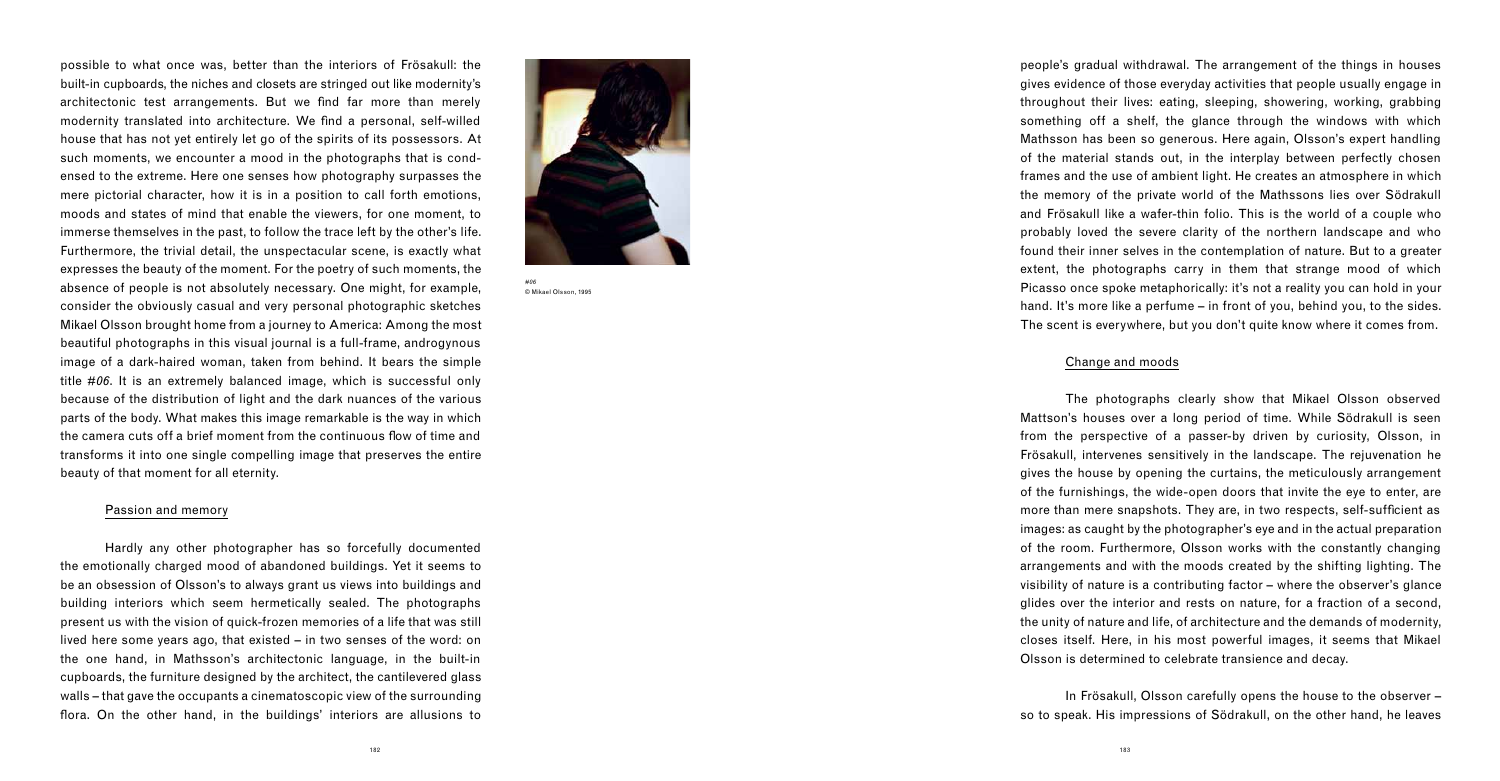possible to what once was, better than the interiors of Frösakull: the built-in cupboards, the niches and closets are stringed out like modernity's architectonic test arrangements. But we find far more than merely modernity translated into architecture. We find a personal, self-willed house that has not yet entirely let go of the spirits of its possessors. At such moments, we encounter a mood in the photographs that is condensed to the extreme. Here one senses how photography surpasses the mere pictorial character, how it is in a position to call forth emotions, moods and states of mind that enable the viewers, for one moment, to immerse themselves in the past, to follow the trace left by the other's life. Furthermore, the trivial detail, the unspectacular scene, is exactly what expresses the beauty of the moment. For the poetry of such moments, the absence of people is not absolutely necessary. One might, for example, consider the obviously casual and very personal photographic sketches Mikael Olsson brought home from a journey to America: Among the most beautiful photographs in this visual journal is a full-frame, androgynous image of a dark-haired woman, taken from behind. It bears the simple title *#06*. It is an extremely balanced image, which is successful only because of the distribution of light and the dark nuances of the various parts of the body. What makes this image remarkable is the way in which the camera cuts off a brief moment from the continuous flow of time and transforms it into one single compelling image that preserves the entire beauty of that moment for all eternity.

 Hardly any other photographer has so forcefully documented the emotionally charged mood of abandoned buildings. Yet it seems to be an obsession of Olsson's to always grant us views into buildings and building interiors which seem hermetically sealed. The photographs present us with the vision of quick-frozen memories of a life that was still lived here some years ago, that existed – in two senses of the word: on the one hand, in Mathsson's architectonic language, in the built-in cupboards, the furniture designed by the architect, the cantilevered glass walls – that gave the occupants a cinematoscopic view of the surrounding flora. On the other hand, in the buildings' interiors are allusions to

## Passion and memory

people's gradual withdrawal. The arrangement of the things in houses gives evidence of those everyday activities that people usually engage in throughout their lives: eating, sleeping, showering, working, grabbing something off a shelf, the glance through the windows with which Mathsson has been so generous. Here again, Olsson's expert handling of the material stands out, in the interplay between perfectly chosen frames and the use of ambient light. He creates an atmosphere in which the memory of the private world of the Mathssons lies over Södrakull and Frösakull like a wafer-thin folio. This is the world of a couple who probably loved the severe clarity of the northern landscape and who found their inner selves in the contemplation of nature. But to a greater extent, the photographs carry in them that strange mood of which Picasso once spoke metaphorically: it's not a reality you can hold in your hand. It's more like a perfume – in front of you, behind you, to the sides. The scent is everywhere, but you don't quite know where it comes from.

## Change and moods

 The photographs clearly show that Mikael Olsson observed Mattson's houses over a long period of time. While Södrakull is seen from the perspective of a passer-by driven by curiosity, Olsson, in Frösakull, intervenes sensitively in the landscape. The rejuvenation he gives the house by opening the curtains, the meticulously arrangement of the furnishings, the wide-open doors that invite the eye to enter, are more than mere snapshots. They are, in two respects, self-sufficient as images: as caught by the photographer's eye and in the actual preparation of the room. Furthermore, Olsson works with the constantly changing arrangements and with the moods created by the shifting lighting. The visibility of nature is a contributing factor – where the observer's glance glides over the interior and rests on nature, for a fraction of a second, the unity of nature and life, of architecture and the demands of modernity, closes itself. Here, in his most powerful images, it seems that Mikael Olsson is determined to celebrate transience and decay.

 In Frösakull, Olsson carefully opens the house to the observer – so to speak. His impressions of Södrakull, on the other hand, he leaves



*#06* © Mikael Olsson, 1995